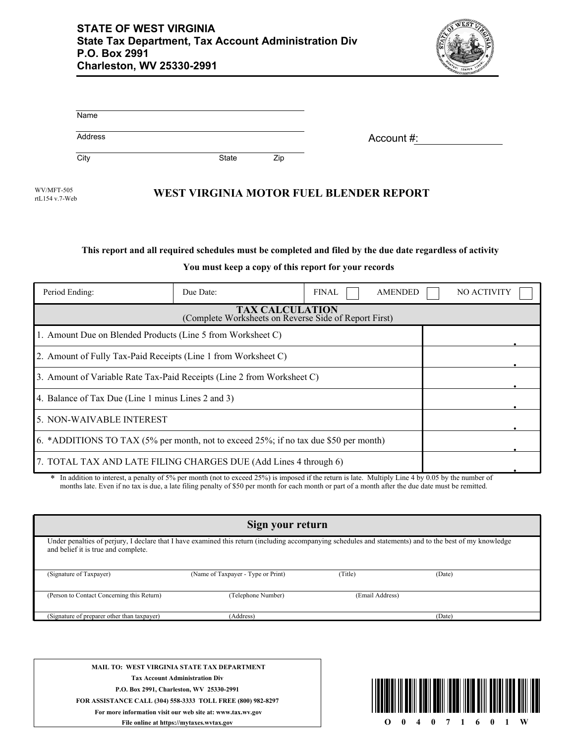

| Name    |       |     |            |
|---------|-------|-----|------------|
| Address |       |     | Account #: |
| City    | State | Zip |            |

WEST VIRGINIA MOTOR FUEL BLENDER REPORT rtL154 v.7-Web

## **This report and all required schedules must be completed and filed by the due date regardless of activity**

**You must keep a copy of this report for your records**

| Period Ending:                                                                       | Due Date:                                                      | <b>FINAL</b> | <b>AMENDED</b> | <b>NO ACTIVITY</b> |  |  |
|--------------------------------------------------------------------------------------|----------------------------------------------------------------|--------------|----------------|--------------------|--|--|
| <b>TAX CALCULATION</b><br>(Complete Worksheets on Reverse Side of Report First)      |                                                                |              |                |                    |  |  |
| 1. Amount Due on Blended Products (Line 5 from Worksheet C)                          |                                                                |              |                |                    |  |  |
|                                                                                      | 2. Amount of Fully Tax-Paid Receipts (Line 1 from Worksheet C) |              |                |                    |  |  |
| 3. Amount of Variable Rate Tax-Paid Receipts (Line 2 from Worksheet C)               |                                                                |              |                |                    |  |  |
| 4. Balance of Tax Due (Line 1 minus Lines 2 and 3)                                   |                                                                |              |                |                    |  |  |
| 5. NON-WAIVABLE INTEREST                                                             |                                                                |              |                |                    |  |  |
| 6. *ADDITIONS TO TAX (5% per month, not to exceed 25%; if no tax due \$50 per month) |                                                                |              |                |                    |  |  |
| 7. TOTAL TAX AND LATE FILING CHARGES DUE (Add Lines 4 through 6)                     |                                                                |              |                |                    |  |  |

In addition to interest, a penalty of 5% per month (not to exceed 25%) is imposed if the return is late. Multiply Line 4 by 0.05 by the number of months late. Even if no tax is due, a late filing penalty of \$50 per month for each month or part of a month after the due date must be remitted.

| Sign your return                                                                                                                                                                                |                                    |                 |        |  |  |
|-------------------------------------------------------------------------------------------------------------------------------------------------------------------------------------------------|------------------------------------|-----------------|--------|--|--|
| Under penalties of perjury, I declare that I have examined this return (including accompanying schedules and statements) and to the best of my knowledge<br>and belief it is true and complete. |                                    |                 |        |  |  |
| (Signature of Taxpayer)                                                                                                                                                                         | (Name of Taxpayer - Type or Print) | (Title)         | (Date) |  |  |
| (Person to Contact Concerning this Return)                                                                                                                                                      | (Telephone Number)                 | (Email Address) |        |  |  |
| (Signature of preparer other than taxpayer)                                                                                                                                                     | (Address)                          |                 | (Date) |  |  |

**MAIL TO: WEST VIRGINIA STATE TAX DEPARTMENT Tax Account Administration Div P.O. Box 2991, Charleston, WV 25330-2991 FOR ASSISTANCE CALL (304) 558-3333 TOLL FREE (800) 982-8297 For more information visit our web site at: www.tax.wv.gov File online at https://mytaxes.wvtax.gov**